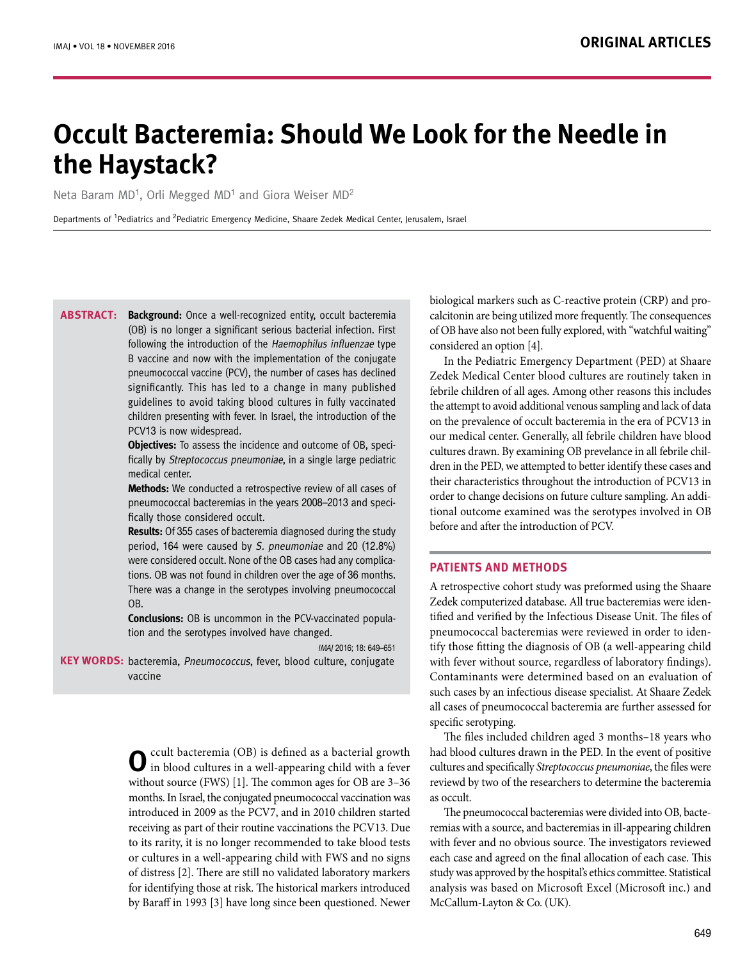# **Occult Bacteremia: Should We Look for the Needle in the Haystack?**

Neta Baram MD<sup>1</sup>, Orli Megged MD<sup>1</sup> and Giora Weiser MD<sup>2</sup>

Departments of <sup>1</sup>Pediatrics and <sup>2</sup>Pediatric Emergency Medicine, Shaare Zedek Medical Center, Jerusalem, Israel

**Background:** Once a well-recognized entity, occult bacteremia (OB) is no longer a significant serious bacterial infection. First following the introduction of the Haemophilus influenzae type B vaccine and now with the implementation of the conjugate pneumococcal vaccine (PCV), the number of cases has declined significantly. This has led to a change in many published guidelines to avoid taking blood cultures in fully vaccinated children presenting with fever. In Israel, the introduction of the PCV13 is now widespread. **Abstract:**

> **Objectives:** To assess the incidence and outcome of OB, specifically by Streptococcus pneumoniae, in a single large pediatric medical center.

> **Methods:** We conducted a retrospective review of all cases of pneumococcal bacteremias in the years 2008–2013 and specifically those considered occult.

> **Results:** Of 355 cases of bacteremia diagnosed during the study period, 164 were caused by S. pneumoniae and 20 (12.8%) were considered occult. None of the OB cases had any complications. OB was not found in children over the age of 36 months. There was a change in the serotypes involving pneumococcal OB.

> **Conclusions:** OB is uncommon in the PCV-vaccinated population and the serotypes involved have changed.

> > IMAJ 2016; 18: 649–651

KEY WORDS: bacteremia, Pneumococcus, fever, blood culture, conjugate vaccine

> **O**ccult bacteremia (OB) is defined as a bacterial growth in blood cultures in a well-appearing child with a fever without source (FWS) [1]. The common ages for OB are 3–36 months. In Israel, the conjugated pneumococcal vaccination was introduced in 2009 as the PCV7, and in 2010 children started receiving as part of their routine vaccinations the PCV13. Due to its rarity, it is no longer recommended to take blood tests or cultures in a well-appearing child with FWS and no signs of distress [2]. There are still no validated laboratory markers for identifying those at risk. The historical markers introduced by Baraff in 1993 [3] have long since been questioned. Newer

biological markers such as C-reactive protein (CRP) and procalcitonin are being utilized more frequently. The consequences of OB have also not been fully explored, with "watchful waiting" considered an option [4].

In the Pediatric Emergency Department (PED) at Shaare Zedek Medical Center blood cultures are routinely taken in febrile children of all ages. Among other reasons this includes the attempt to avoid additional venous sampling and lack of data on the prevalence of occult bacteremia in the era of PCV13 in our medical center. Generally, all febrile children have blood cultures drawn. By examining OB prevelance in all febrile children in the PED, we attempted to better identify these cases and their characteristics throughout the introduction of PCV13 in order to change decisions on future culture sampling. An additional outcome examined was the serotypes involved in OB before and after the introduction of PCV.

# **PATIENTS AND METHODS**

A retrospective cohort study was preformed using the Shaare Zedek computerized database. All true bacteremias were identified and verified by the Infectious Disease Unit. The files of pneumococcal bacteremias were reviewed in order to identify those fitting the diagnosis of OB (a well-appearing child with fever without source, regardless of laboratory findings). Contaminants were determined based on an evaluation of such cases by an infectious disease specialist. At Shaare Zedek all cases of pneumococcal bacteremia are further assessed for specific serotyping.

The files included children aged 3 months–18 years who had blood cultures drawn in the PED. In the event of positive cultures and specifically *Streptococcus pneumoniae*, the files were reviewd by two of the researchers to determine the bacteremia as occult.

The pneumococcal bacteremias were divided into OB, bacteremias with a source, and bacteremias in ill-appearing children with fever and no obvious source. The investigators reviewed each case and agreed on the final allocation of each case. This study was approved by the hospital's ethics committee. Statistical analysis was based on Microsoft Excel (Microsoft inc.) and McCallum-Layton & Co. (UK).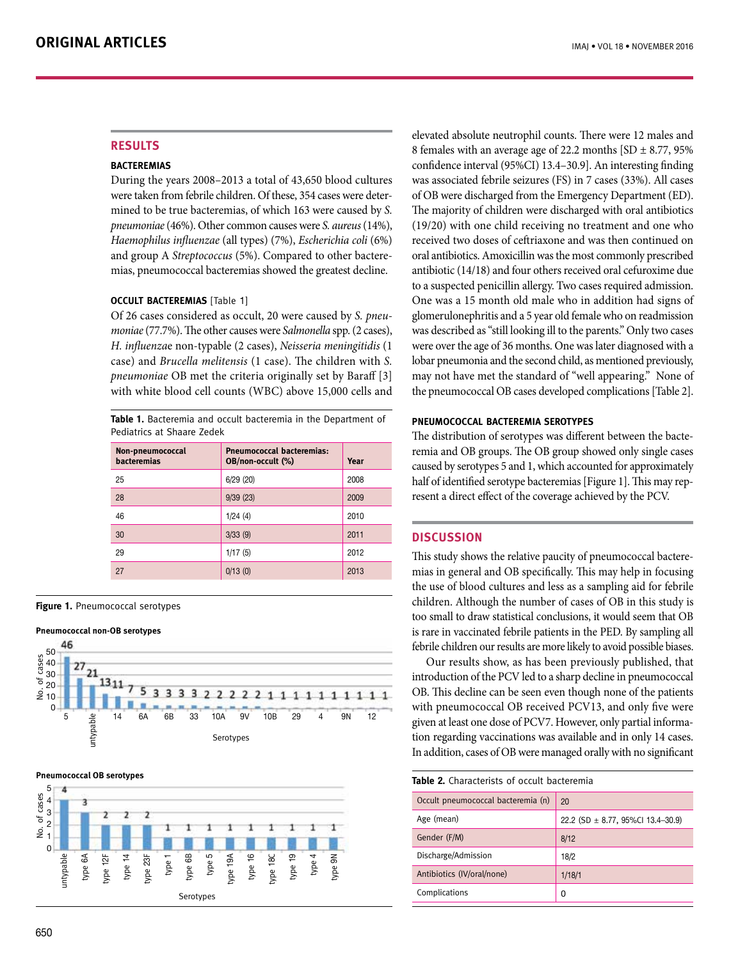# **RESULTS**

## **Bacteremias**

During the years 2008–2013 a total of 43,650 blood cultures were taken from febrile children. Of these, 354 cases were determined to be true bacteremias, of which 163 were caused by *S. pneumoniae* (46%). Other common causes were *S. aureus* (14%), *Haemophilus influenzae* (all types) (7%), *Escherichia coli* (6%) and group A *Streptococcus* (5%). Compared to other bacteremias, pneumococcal bacteremias showed the greatest decline.

# **Occult bacteremias** [Table 1]

Of 26 cases considered as occult, 20 were caused by *S. pneumoniae* (77.7%). The other causes were *Salmonella* spp. (2 cases), *H. influenza*e non-typable (2 cases), *Neisseria meningitidis* (1 case) and *Brucella melitensis* (1 case). The children with *S. pneumoniae* OB met the criteria originally set by Baraff [3] with white blood cell counts (WBC) above 15,000 cells and

**Table 1.** Bacteremia and occult bacteremia in the Department of Pediatrics at Shaare Zedek

| Non-pneumococcal<br><b>bacteremias</b> | <b>Pneumococcal bacteremias:</b><br>OB/non-occult (%) | Year |
|----------------------------------------|-------------------------------------------------------|------|
| 25                                     | 6/29(20)                                              | 2008 |
| 28                                     | 9/39(23)                                              | 2009 |
| 46                                     | 1/24(4)                                               | 2010 |
| 30                                     | 3/33(9)                                               | 2011 |
| 29                                     | 1/17(5)                                               | 2012 |
| 27                                     | 0/13(0)                                               | 2013 |

**Figure 1.** Pneumococcal serotypes

#### **Pneumococcal non-OB serotypes**







elevated absolute neutrophil counts. There were 12 males and 8 females with an average age of 22.2 months  $[SD \pm 8.77, 95\%]$ confidence interval (95%CI) 13.4–30.9]. An interesting finding was associated febrile seizures (FS) in 7 cases (33%). All cases of OB were discharged from the Emergency Department (ED). The majority of children were discharged with oral antibiotics (19/20) with one child receiving no treatment and one who received two doses of ceftriaxone and was then continued on oral antibiotics. Amoxicillin was the most commonly prescribed antibiotic (14/18) and four others received oral cefuroxime due to a suspected penicillin allergy. Two cases required admission. One was a 15 month old male who in addition had signs of glomerulonephritis and a 5 year old female who on readmission was described as "still looking ill to the parents." Only two cases were over the age of 36 months. One was later diagnosed with a lobar pneumonia and the second child, as mentioned previously, may not have met the standard of "well appearing." None of the pneumococcal OB cases developed complications [Table 2].

## **Pneumococcal bacteremia serotypes**

The distribution of serotypes was different between the bacteremia and OB groups. The OB group showed only single cases caused by serotypes 5 and 1, which accounted for approximately half of identified serotype bacteremias [Figure 1]. This may represent a direct effect of the coverage achieved by the PCV.

## **DISCUSSION**

This study shows the relative paucity of pneumococcal bacteremias in general and OB specifically. This may help in focusing the use of blood cultures and less as a sampling aid for febrile children. Although the number of cases of OB in this study is too small to draw statistical conclusions, it would seem that OB is rare in vaccinated febrile patients in the PED. By sampling all febrile children our results are more likely to avoid possible biases.

Our results show, as has been previously published, that introduction of the PCV led to a sharp decline in pneumococcal OB. This decline can be seen even though none of the patients with pneumococcal OB received PCV13, and only five were given at least one dose of PCV7. However, only partial information regarding vaccinations was available and in only 14 cases. In addition, cases of OB were managed orally with no significant

| <b>Table 2.</b> Characterists of occult bacteremia |                                       |  |
|----------------------------------------------------|---------------------------------------|--|
| Occult pneumococcal bacteremia (n)                 | 20                                    |  |
| Age (mean)                                         | 22.2 (SD $\pm$ 8.77, 95%Cl 13.4-30.9) |  |
| Gender (F/M)                                       | 8/12                                  |  |
| Discharge/Admission                                | 18/2                                  |  |
| Antibiotics (IV/oral/none)                         | 1/18/1                                |  |
| Complications                                      | O                                     |  |
|                                                    |                                       |  |